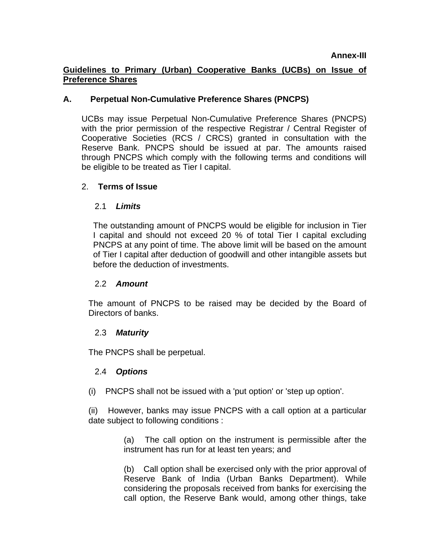## **Guidelines to Primary (Urban) Cooperative Banks (UCBs) on Issue of Preference Shares**

### **A. Perpetual Non-Cumulative Preference Shares (PNCPS)**

UCBs may issue Perpetual Non-Cumulative Preference Shares (PNCPS) with the prior permission of the respective Registrar / Central Register of Cooperative Societies (RCS / CRCS) granted in consultation with the Reserve Bank. PNCPS should be issued at par. The amounts raised through PNCPS which comply with the following terms and conditions will be eligible to be treated as Tier I capital.

### 2. **Terms of Issue**

### 2.1 *Limits*

The outstanding amount of PNCPS would be eligible for inclusion in Tier I capital and should not exceed 20 % of total Tier I capital excluding PNCPS at any point of time. The above limit will be based on the amount of Tier I capital after deduction of goodwill and other intangible assets but before the deduction of investments.

#### 2.2 *Amount*

The amount of PNCPS to be raised may be decided by the Board of Directors of banks.

#### 2.3 *Maturity*

The PNCPS shall be perpetual.

## 2.4 *Options*

(i) PNCPS shall not be issued with a 'put option' or 'step up option'.

(ii) However, banks may issue PNCPS with a call option at a particular date subject to following conditions :

> (a) The call option on the instrument is permissible after the instrument has run for at least ten years; and

> (b) Call option shall be exercised only with the prior approval of Reserve Bank of India (Urban Banks Department). While considering the proposals received from banks for exercising the call option, the Reserve Bank would, among other things, take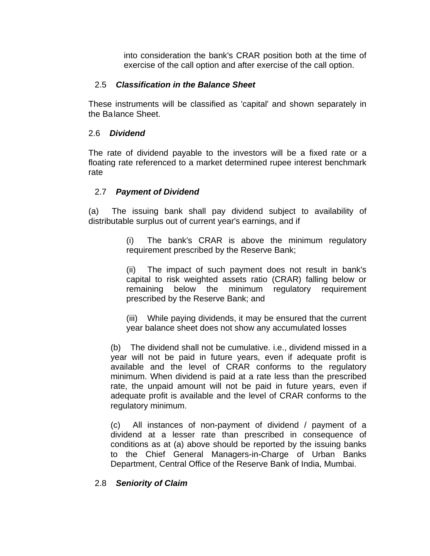into consideration the bank's CRAR position both at the time of exercise of the call option and after exercise of the call option.

### 2.5 *Classification in the Balance Sheet*

These instruments will be classified as 'capital' and shown separately in the Ba lance Sheet.

### 2.6 *Dividend*

The rate of dividend payable to the investors will be a fixed rate or a floating rate referenced to a market determined rupee interest benchmark rate

### 2.7 *Payment of Dividend*

(a) The issuing bank shall pay dividend subject to availability of distributable surplus out of current year's earnings, and if

> (i) The bank's CRAR is above the minimum regulatory requirement prescribed by the Reserve Bank;

> (ii) The impact of such payment does not result in bank's capital to risk weighted assets ratio (CRAR) falling below or remaining below the minimum regulatory requirement prescribed by the Reserve Bank; and

> (iii) While paying dividends, it may be ensured that the current year balance sheet does not show any accumulated losses

(b) The dividend shall not be cumulative. i.e., dividend missed in a year will not be paid in future years, even if adequate profit is available and the level of CRAR conforms to the regulatory minimum. When dividend is paid at a rate less than the prescribed rate, the unpaid amount will not be paid in future years, even if adequate profit is available and the level of CRAR conforms to the regulatory minimum.

(c) All instances of non-payment of dividend / payment of a dividend at a lesser rate than prescribed in consequence of conditions as at (a) above should be reported by the issuing banks to the Chief General Managers-in-Charge of Urban Banks Department, Central Office of the Reserve Bank of India, Mumbai.

## 2.8 *Seniority of Claim*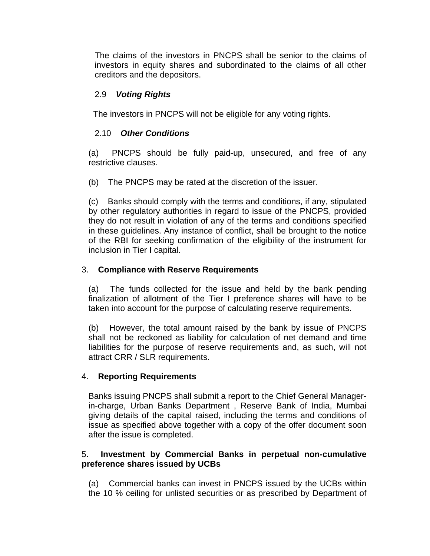The claims of the investors in PNCPS shall be senior to the claims of investors in equity shares and subordinated to the claims of all other creditors and the depositors.

# 2.9 *Voting Rights*

The investors in PNCPS will not be eligible for any voting rights.

## 2.10 *Other Conditions*

(a) PNCPS should be fully paid-up, unsecured, and free of any restrictive clauses.

(b) The PNCPS may be rated at the discretion of the issuer.

(c) Banks should comply with the terms and conditions, if any, stipulated by other regulatory authorities in regard to issue of the PNCPS, provided they do not result in violation of any of the terms and conditions specified in these guidelines. Any instance of conflict, shall be brought to the notice of the RBI for seeking confirmation of the eligibility of the instrument for inclusion in Tier I capital.

## 3. **Compliance with Reserve Requirements**

(a) The funds collected for the issue and held by the bank pending finalization of allotment of the Tier I preference shares will have to be taken into account for the purpose of calculating reserve requirements.

(b) However, the total amount raised by the bank by issue of PNCPS shall not be reckoned as liability for calculation of net demand and time liabilities for the purpose of reserve requirements and, as such, will not attract CRR / SLR requirements.

## 4. **Reporting Requirements**

Banks issuing PNCPS shall submit a report to the Chief General Managerin-charge, Urban Banks Department , Reserve Bank of India, Mumbai giving details of the capital raised, including the terms and conditions of issue as specified above together with a copy of the offer document soon after the issue is completed.

### 5. **Investment by Commercial Banks in perpetual non-cumulative preference shares issued by UCBs**

(a) Commercial banks can invest in PNCPS issued by the UCBs within the 10 % ceiling for unlisted securities or as prescribed by Department of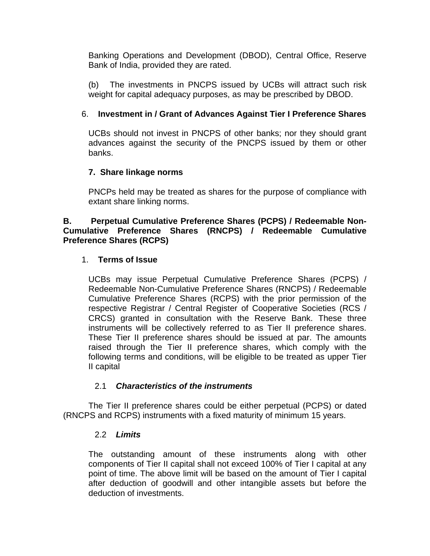Banking Operations and Development (DBOD), Central Office, Reserve Bank of India, provided they are rated.

(b) The investments in PNCPS issued by UCBs will attract such risk weight for capital adequacy purposes, as may be prescribed by DBOD.

## 6. **Investment in / Grant of Advances Against Tier I Preference Shares**

UCBs should not invest in PNCPS of other banks; nor they should grant advances against the security of the PNCPS issued by them or other banks.

## **7. Share linkage norms**

PNCPs held may be treated as shares for the purpose of compliance with extant share linking norms.

#### **B. Perpetual Cumulative Preference Shares (PCPS) / Redeemable Non-Cumulative Preference Shares (RNCPS) / Redeemable Cumulative Preference Shares (RCPS)**

## 1. **Terms of Issue**

UCBs may issue Perpetual Cumulative Preference Shares (PCPS) / Redeemable Non-Cumulative Preference Shares (RNCPS) / Redeemable Cumulative Preference Shares (RCPS) with the prior permission of the respective Registrar / Central Register of Cooperative Societies (RCS / CRCS) granted in consultation with the Reserve Bank. These three instruments will be collectively referred to as Tier II preference shares. These Tier II preference shares should be issued at par. The amounts raised through the Tier II preference shares, which comply with the following terms and conditions, will be eligible to be treated as upper Tier II capital

## 2.1 *Characteristics of the instruments*

The Tier II preference shares could be either perpetual (PCPS) or dated (RNCPS and RCPS) instruments with a fixed maturity of minimum 15 years.

#### 2.2 *Limits*

The outstanding amount of these instruments along with other components of Tier II capital shall not exceed 100% of Tier I capital at any point of time. The above limit will be based on the amount of Tier I capital after deduction of goodwill and other intangible assets but before the deduction of investments.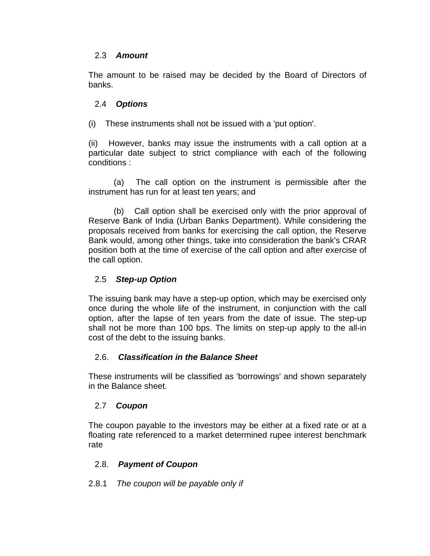### 2.3 *Amount*

The amount to be raised may be decided by the Board of Directors of banks.

## 2.4 *Options*

(i) These instruments shall not be issued with a 'put option'.

(ii) However, banks may issue the instruments with a call option at a particular date subject to strict compliance with each of the following conditions :

(a) The call option on the instrument is permissible after the instrument has run for at least ten years; and

(b) Call option shall be exercised only with the prior approval of Reserve Bank of India (Urban Banks Department). While considering the proposals received from banks for exercising the call option, the Reserve Bank would, among other things, take into consideration the bank's CRAR position both at the time of exercise of the call option and after exercise of the call option.

## 2.5 *Step-up Option*

The issuing bank may have a step-up option, which may be exercised only once during the whole life of the instrument, in conjunction with the call option, after the lapse of ten years from the date of issue. The step-up shall not be more than 100 bps. The limits on step-up apply to the all-in cost of the debt to the issuing banks.

#### 2.6. *Classification in the Balance Sheet*

These instruments will be classified as 'borrowings' and shown separately in the Balance sheet.

#### 2.7 *Coupon*

The coupon payable to the investors may be either at a fixed rate or at a floating rate referenced to a market determined rupee interest benchmark rate

#### 2.8. *Payment of Coupon*

2.8.1 *The coupon will be payable only if*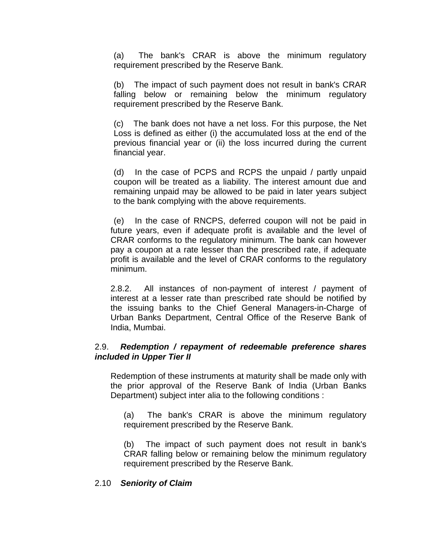(a) The bank's CRAR is above the minimum regulatory requirement prescribed by the Reserve Bank.

(b) The impact of such payment does not result in bank's CRAR falling below or remaining below the minimum regulatory requirement prescribed by the Reserve Bank.

(c) The bank does not have a net loss. For this purpose, the Net Loss is defined as either (i) the accumulated loss at the end of the previous financial year or (ii) the loss incurred during the current financial year.

(d) In the case of PCPS and RCPS the unpaid / partly unpaid coupon will be treated as a liability. The interest amount due and remaining unpaid may be allowed to be paid in later years subject to the bank complying with the above requirements.

(e) In the case of RNCPS, deferred coupon will not be paid in future years, even if adequate profit is available and the level of CRAR conforms to the regulatory minimum. The bank can however pay a coupon at a rate lesser than the prescribed rate, if adequate profit is available and the level of CRAR conforms to the regulatory minimum.

2.8.2. All instances of non-payment of interest / payment of interest at a lesser rate than prescribed rate should be notified by the issuing banks to the Chief General Managers-in-Charge of Urban Banks Department, Central Office of the Reserve Bank of India, Mumbai.

### 2.9. *Redemption / repayment of redeemable preference shares included in Upper Tier II*

Redemption of these instruments at maturity shall be made only with the prior approval of the Reserve Bank of India (Urban Banks Department) subject inter alia to the following conditions :

(a) The bank's CRAR is above the minimum regulatory requirement prescribed by the Reserve Bank.

(b) The impact of such payment does not result in bank's CRAR falling below or remaining below the minimum regulatory requirement prescribed by the Reserve Bank.

#### 2.10 *Seniority of Claim*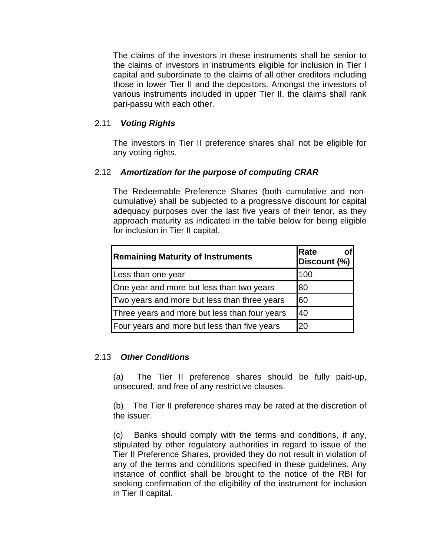The claims of the investors in these instruments shall be senior to the claims of investors in instruments eligible for inclusion in Tier I capital and subordinate to the claims of all other creditors including those in lower Tier II and the depositors. Amongst the investors of various instruments included in upper Tier II, the claims shall rank pari-passu with each other.

### 2.11 *Voting Rights*

The investors in Tier II preference shares shall not be eligible for any voting rights.

### 2.12 *Amortization for the purpose of computing CRAR*

The Redeemable Preference Shares (both cumulative and noncumulative) shall be subjected to a progressive discount for capital adequacy purposes over the last five years of their tenor, as they approach maturity as indicated in the table below for being eligible for inclusion in Tier II capital.

| <b>Remaining Maturity of Instruments</b>      | Rate<br>O1<br>Discount (%) |
|-----------------------------------------------|----------------------------|
| Less than one year                            | 100                        |
| One year and more but less than two years     | 80                         |
| Two years and more but less than three years  | 60                         |
| Three years and more but less than four years | 40                         |
| Four years and more but less than five years  | 20                         |

#### 2.13 *Other Conditions*

(a) The Tier II preference shares should be fully paid-up, unsecured, and free of any restrictive clauses.

(b) The Tier II preference shares may be rated at the discretion of the issuer.

(c) Banks should comply with the terms and conditions, if any, stipulated by other regulatory authorities in regard to issue of the Tier II Preference Shares, provided they do not result in violation of any of the terms and conditions specified in these guidelines. Any instance of conflict shall be brought to the notice of the RBI for seeking confirmation of the eligibility of the instrument for inclusion in Tier II capital.